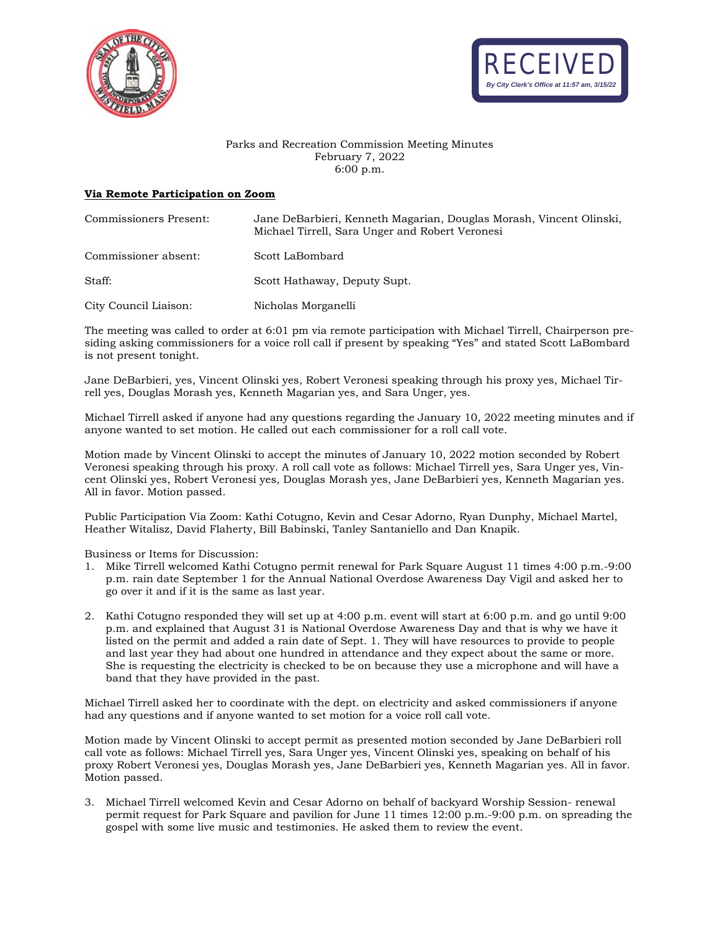



## Parks and Recreation Commission Meeting Minutes February 7, 2022 6:00 p.m.

## **Via Remote Participation on Zoom**

| Commissioners Present: | Jane DeBarbieri, Kenneth Magarian, Douglas Morash, Vincent Olinski,<br>Michael Tirrell, Sara Unger and Robert Veronesi |
|------------------------|------------------------------------------------------------------------------------------------------------------------|
| Commissioner absent:   | Scott LaBombard                                                                                                        |
| Staff:                 | Scott Hathaway, Deputy Supt.                                                                                           |
| City Council Liaison:  | Nicholas Morganelli                                                                                                    |

The meeting was called to order at 6:01 pm via remote participation with Michael Tirrell, Chairperson presiding asking commissioners for a voice roll call if present by speaking "Yes" and stated Scott LaBombard is not present tonight.

Jane DeBarbieri, yes, Vincent Olinski yes, Robert Veronesi speaking through his proxy yes, Michael Tirrell yes, Douglas Morash yes, Kenneth Magarian yes, and Sara Unger, yes.

Michael Tirrell asked if anyone had any questions regarding the January 10, 2022 meeting minutes and if anyone wanted to set motion. He called out each commissioner for a roll call vote.

Motion made by Vincent Olinski to accept the minutes of January 10, 2022 motion seconded by Robert Veronesi speaking through his proxy. A roll call vote as follows: Michael Tirrell yes, Sara Unger yes, Vincent Olinski yes, Robert Veronesi yes, Douglas Morash yes, Jane DeBarbieri yes, Kenneth Magarian yes. All in favor. Motion passed.

Public Participation Via Zoom: Kathi Cotugno, Kevin and Cesar Adorno, Ryan Dunphy, Michael Martel, Heather Witalisz, David Flaherty, Bill Babinski, Tanley Santaniello and Dan Knapik.

Business or Items for Discussion:

- 1. Mike Tirrell welcomed Kathi Cotugno permit renewal for Park Square August 11 times 4:00 p.m.-9:00 p.m. rain date September 1 for the Annual National Overdose Awareness Day Vigil and asked her to go over it and if it is the same as last year.
- 2. Kathi Cotugno responded they will set up at 4:00 p.m. event will start at 6:00 p.m. and go until 9:00 p.m. and explained that August 31 is National Overdose Awareness Day and that is why we have it listed on the permit and added a rain date of Sept. 1. They will have resources to provide to people and last year they had about one hundred in attendance and they expect about the same or more. She is requesting the electricity is checked to be on because they use a microphone and will have a band that they have provided in the past.

Michael Tirrell asked her to coordinate with the dept. on electricity and asked commissioners if anyone had any questions and if anyone wanted to set motion for a voice roll call vote.

Motion made by Vincent Olinski to accept permit as presented motion seconded by Jane DeBarbieri roll call vote as follows: Michael Tirrell yes, Sara Unger yes, Vincent Olinski yes, speaking on behalf of his proxy Robert Veronesi yes, Douglas Morash yes, Jane DeBarbieri yes, Kenneth Magarian yes. All in favor. Motion passed.

3. Michael Tirrell welcomed Kevin and Cesar Adorno on behalf of backyard Worship Session- renewal permit request for Park Square and pavilion for June 11 times 12:00 p.m.-9:00 p.m. on spreading the gospel with some live music and testimonies. He asked them to review the event.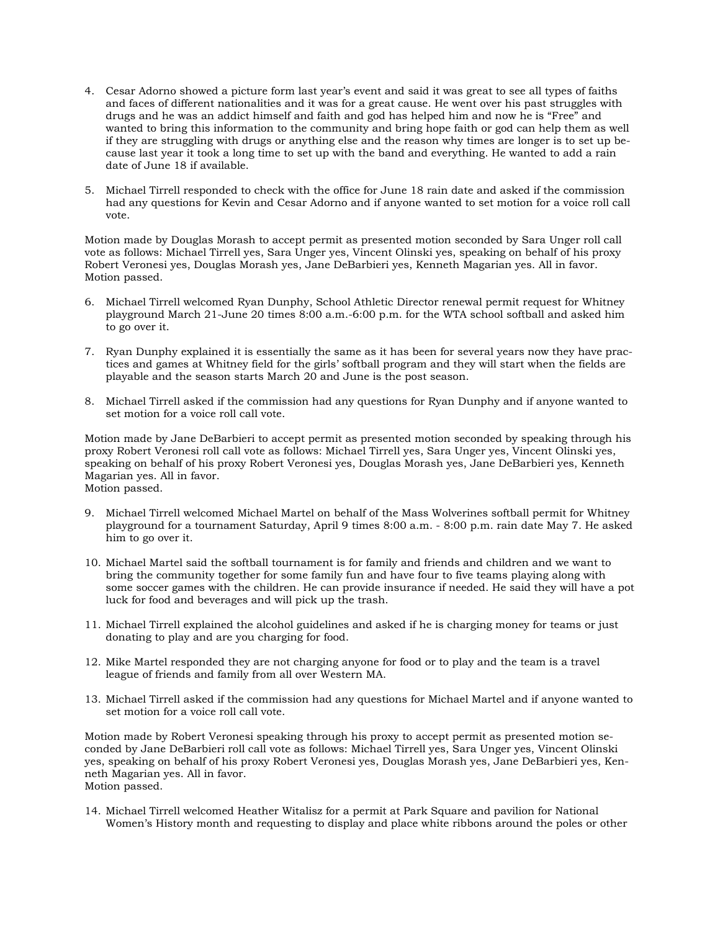- 4. Cesar Adorno showed a picture form last year's event and said it was great to see all types of faiths and faces of different nationalities and it was for a great cause. He went over his past struggles with drugs and he was an addict himself and faith and god has helped him and now he is "Free" and wanted to bring this information to the community and bring hope faith or god can help them as well if they are struggling with drugs or anything else and the reason why times are longer is to set up because last year it took a long time to set up with the band and everything. He wanted to add a rain date of June 18 if available.
- 5. Michael Tirrell responded to check with the office for June 18 rain date and asked if the commission had any questions for Kevin and Cesar Adorno and if anyone wanted to set motion for a voice roll call vote.

Motion made by Douglas Morash to accept permit as presented motion seconded by Sara Unger roll call vote as follows: Michael Tirrell yes, Sara Unger yes, Vincent Olinski yes, speaking on behalf of his proxy Robert Veronesi yes, Douglas Morash yes, Jane DeBarbieri yes, Kenneth Magarian yes. All in favor. Motion passed.

- 6. Michael Tirrell welcomed Ryan Dunphy, School Athletic Director renewal permit request for Whitney playground March 21-June 20 times 8:00 a.m.-6:00 p.m. for the WTA school softball and asked him to go over it.
- 7. Ryan Dunphy explained it is essentially the same as it has been for several years now they have practices and games at Whitney field for the girls' softball program and they will start when the fields are playable and the season starts March 20 and June is the post season.
- 8. Michael Tirrell asked if the commission had any questions for Ryan Dunphy and if anyone wanted to set motion for a voice roll call vote.

Motion made by Jane DeBarbieri to accept permit as presented motion seconded by speaking through his proxy Robert Veronesi roll call vote as follows: Michael Tirrell yes, Sara Unger yes, Vincent Olinski yes, speaking on behalf of his proxy Robert Veronesi yes, Douglas Morash yes, Jane DeBarbieri yes, Kenneth Magarian yes. All in favor. Motion passed.

- 9. Michael Tirrell welcomed Michael Martel on behalf of the Mass Wolverines softball permit for Whitney playground for a tournament Saturday, April 9 times 8:00 a.m. - 8:00 p.m. rain date May 7. He asked him to go over it.
- 10. Michael Martel said the softball tournament is for family and friends and children and we want to bring the community together for some family fun and have four to five teams playing along with some soccer games with the children. He can provide insurance if needed. He said they will have a pot luck for food and beverages and will pick up the trash.
- 11. Michael Tirrell explained the alcohol guidelines and asked if he is charging money for teams or just donating to play and are you charging for food.
- 12. Mike Martel responded they are not charging anyone for food or to play and the team is a travel league of friends and family from all over Western MA.
- 13. Michael Tirrell asked if the commission had any questions for Michael Martel and if anyone wanted to set motion for a voice roll call vote.

Motion made by Robert Veronesi speaking through his proxy to accept permit as presented motion seconded by Jane DeBarbieri roll call vote as follows: Michael Tirrell yes, Sara Unger yes, Vincent Olinski yes, speaking on behalf of his proxy Robert Veronesi yes, Douglas Morash yes, Jane DeBarbieri yes, Kenneth Magarian yes. All in favor. Motion passed.

14. Michael Tirrell welcomed Heather Witalisz for a permit at Park Square and pavilion for National Women's History month and requesting to display and place white ribbons around the poles or other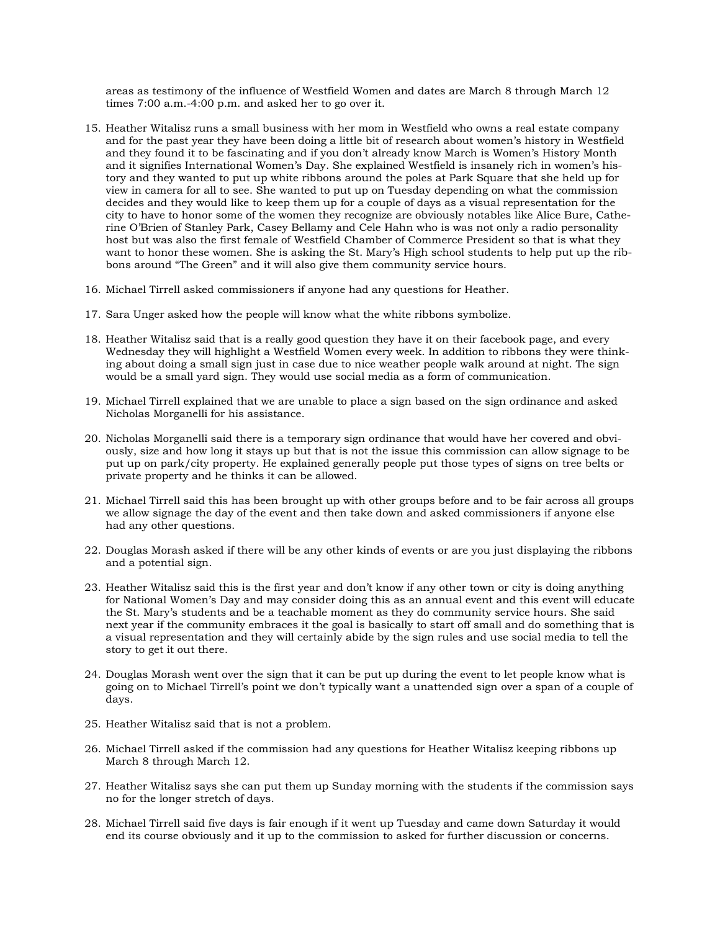areas as testimony of the influence of Westfield Women and dates are March 8 through March 12 times 7:00 a.m.-4:00 p.m. and asked her to go over it.

- 15. Heather Witalisz runs a small business with her mom in Westfield who owns a real estate company and for the past year they have been doing a little bit of research about women's history in Westfield and they found it to be fascinating and if you don't already know March is Women's History Month and it signifies International Women's Day. She explained Westfield is insanely rich in women's history and they wanted to put up white ribbons around the poles at Park Square that she held up for view in camera for all to see. She wanted to put up on Tuesday depending on what the commission decides and they would like to keep them up for a couple of days as a visual representation for the city to have to honor some of the women they recognize are obviously notables like Alice Bure, Catherine O'Brien of Stanley Park, Casey Bellamy and Cele Hahn who is was not only a radio personality host but was also the first female of Westfield Chamber of Commerce President so that is what they want to honor these women. She is asking the St. Mary's High school students to help put up the ribbons around "The Green" and it will also give them community service hours.
- 16. Michael Tirrell asked commissioners if anyone had any questions for Heather.
- 17. Sara Unger asked how the people will know what the white ribbons symbolize.
- 18. Heather Witalisz said that is a really good question they have it on their facebook page, and every Wednesday they will highlight a Westfield Women every week. In addition to ribbons they were thinking about doing a small sign just in case due to nice weather people walk around at night. The sign would be a small yard sign. They would use social media as a form of communication.
- 19. Michael Tirrell explained that we are unable to place a sign based on the sign ordinance and asked Nicholas Morganelli for his assistance.
- 20. Nicholas Morganelli said there is a temporary sign ordinance that would have her covered and obviously, size and how long it stays up but that is not the issue this commission can allow signage to be put up on park/city property. He explained generally people put those types of signs on tree belts or private property and he thinks it can be allowed.
- 21. Michael Tirrell said this has been brought up with other groups before and to be fair across all groups we allow signage the day of the event and then take down and asked commissioners if anyone else had any other questions.
- 22. Douglas Morash asked if there will be any other kinds of events or are you just displaying the ribbons and a potential sign.
- 23. Heather Witalisz said this is the first year and don't know if any other town or city is doing anything for National Women's Day and may consider doing this as an annual event and this event will educate the St. Mary's students and be a teachable moment as they do community service hours. She said next year if the community embraces it the goal is basically to start off small and do something that is a visual representation and they will certainly abide by the sign rules and use social media to tell the story to get it out there.
- 24. Douglas Morash went over the sign that it can be put up during the event to let people know what is going on to Michael Tirrell's point we don't typically want a unattended sign over a span of a couple of days.
- 25. Heather Witalisz said that is not a problem.
- 26. Michael Tirrell asked if the commission had any questions for Heather Witalisz keeping ribbons up March 8 through March 12.
- 27. Heather Witalisz says she can put them up Sunday morning with the students if the commission says no for the longer stretch of days.
- 28. Michael Tirrell said five days is fair enough if it went up Tuesday and came down Saturday it would end its course obviously and it up to the commission to asked for further discussion or concerns.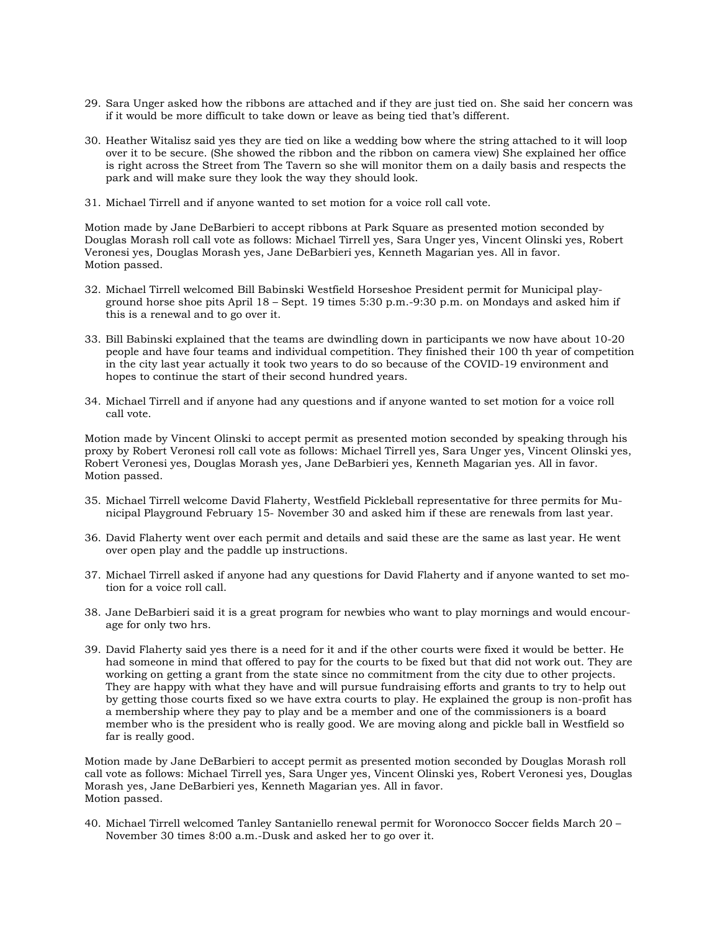- 29. Sara Unger asked how the ribbons are attached and if they are just tied on. She said her concern was if it would be more difficult to take down or leave as being tied that's different.
- 30. Heather Witalisz said yes they are tied on like a wedding bow where the string attached to it will loop over it to be secure. (She showed the ribbon and the ribbon on camera view) She explained her office is right across the Street from The Tavern so she will monitor them on a daily basis and respects the park and will make sure they look the way they should look.
- 31. Michael Tirrell and if anyone wanted to set motion for a voice roll call vote.

Motion made by Jane DeBarbieri to accept ribbons at Park Square as presented motion seconded by Douglas Morash roll call vote as follows: Michael Tirrell yes, Sara Unger yes, Vincent Olinski yes, Robert Veronesi yes, Douglas Morash yes, Jane DeBarbieri yes, Kenneth Magarian yes. All in favor. Motion passed.

- 32. Michael Tirrell welcomed Bill Babinski Westfield Horseshoe President permit for Municipal playground horse shoe pits April 18 – Sept. 19 times 5:30 p.m.-9:30 p.m. on Mondays and asked him if this is a renewal and to go over it.
- 33. Bill Babinski explained that the teams are dwindling down in participants we now have about 10-20 people and have four teams and individual competition. They finished their 100 th year of competition in the city last year actually it took two years to do so because of the COVID-19 environment and hopes to continue the start of their second hundred years.
- 34. Michael Tirrell and if anyone had any questions and if anyone wanted to set motion for a voice roll call vote.

Motion made by Vincent Olinski to accept permit as presented motion seconded by speaking through his proxy by Robert Veronesi roll call vote as follows: Michael Tirrell yes, Sara Unger yes, Vincent Olinski yes, Robert Veronesi yes, Douglas Morash yes, Jane DeBarbieri yes, Kenneth Magarian yes. All in favor. Motion passed.

- 35. Michael Tirrell welcome David Flaherty, Westfield Pickleball representative for three permits for Municipal Playground February 15- November 30 and asked him if these are renewals from last year.
- 36. David Flaherty went over each permit and details and said these are the same as last year. He went over open play and the paddle up instructions.
- 37. Michael Tirrell asked if anyone had any questions for David Flaherty and if anyone wanted to set motion for a voice roll call.
- 38. Jane DeBarbieri said it is a great program for newbies who want to play mornings and would encourage for only two hrs.
- 39. David Flaherty said yes there is a need for it and if the other courts were fixed it would be better. He had someone in mind that offered to pay for the courts to be fixed but that did not work out. They are working on getting a grant from the state since no commitment from the city due to other projects. They are happy with what they have and will pursue fundraising efforts and grants to try to help out by getting those courts fixed so we have extra courts to play. He explained the group is non-profit has a membership where they pay to play and be a member and one of the commissioners is a board member who is the president who is really good. We are moving along and pickle ball in Westfield so far is really good.

Motion made by Jane DeBarbieri to accept permit as presented motion seconded by Douglas Morash roll call vote as follows: Michael Tirrell yes, Sara Unger yes, Vincent Olinski yes, Robert Veronesi yes, Douglas Morash yes, Jane DeBarbieri yes, Kenneth Magarian yes. All in favor. Motion passed.

40. Michael Tirrell welcomed Tanley Santaniello renewal permit for Woronocco Soccer fields March 20 – November 30 times 8:00 a.m.-Dusk and asked her to go over it.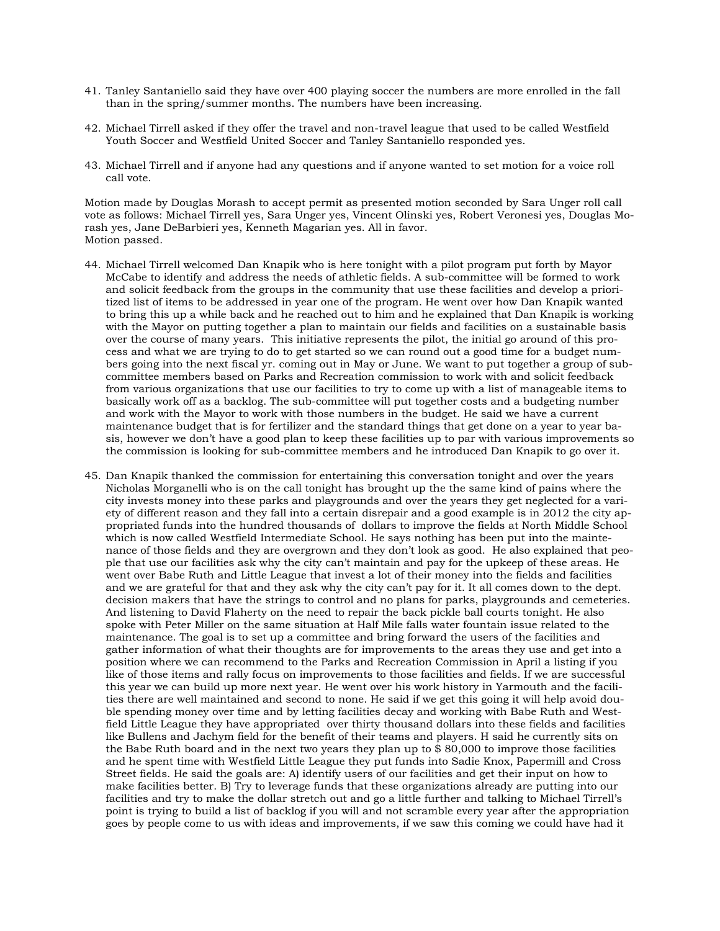- 41. Tanley Santaniello said they have over 400 playing soccer the numbers are more enrolled in the fall than in the spring/summer months. The numbers have been increasing.
- 42. Michael Tirrell asked if they offer the travel and non-travel league that used to be called Westfield Youth Soccer and Westfield United Soccer and Tanley Santaniello responded yes.
- 43. Michael Tirrell and if anyone had any questions and if anyone wanted to set motion for a voice roll call vote.

Motion made by Douglas Morash to accept permit as presented motion seconded by Sara Unger roll call vote as follows: Michael Tirrell yes, Sara Unger yes, Vincent Olinski yes, Robert Veronesi yes, Douglas Morash yes, Jane DeBarbieri yes, Kenneth Magarian yes. All in favor. Motion passed.

- 44. Michael Tirrell welcomed Dan Knapik who is here tonight with a pilot program put forth by Mayor McCabe to identify and address the needs of athletic fields. A sub-committee will be formed to work and solicit feedback from the groups in the community that use these facilities and develop a prioritized list of items to be addressed in year one of the program. He went over how Dan Knapik wanted to bring this up a while back and he reached out to him and he explained that Dan Knapik is working with the Mayor on putting together a plan to maintain our fields and facilities on a sustainable basis over the course of many years. This initiative represents the pilot, the initial go around of this process and what we are trying to do to get started so we can round out a good time for a budget numbers going into the next fiscal yr. coming out in May or June. We want to put together a group of subcommittee members based on Parks and Recreation commission to work with and solicit feedback from various organizations that use our facilities to try to come up with a list of manageable items to basically work off as a backlog. The sub-committee will put together costs and a budgeting number and work with the Mayor to work with those numbers in the budget. He said we have a current maintenance budget that is for fertilizer and the standard things that get done on a year to year basis, however we don't have a good plan to keep these facilities up to par with various improvements so the commission is looking for sub-committee members and he introduced Dan Knapik to go over it.
- 45. Dan Knapik thanked the commission for entertaining this conversation tonight and over the years Nicholas Morganelli who is on the call tonight has brought up the the same kind of pains where the city invests money into these parks and playgrounds and over the years they get neglected for a variety of different reason and they fall into a certain disrepair and a good example is in 2012 the city appropriated funds into the hundred thousands of dollars to improve the fields at North Middle School which is now called Westfield Intermediate School. He says nothing has been put into the maintenance of those fields and they are overgrown and they don't look as good. He also explained that people that use our facilities ask why the city can't maintain and pay for the upkeep of these areas. He went over Babe Ruth and Little League that invest a lot of their money into the fields and facilities and we are grateful for that and they ask why the city can't pay for it. It all comes down to the dept. decision makers that have the strings to control and no plans for parks, playgrounds and cemeteries. And listening to David Flaherty on the need to repair the back pickle ball courts tonight. He also spoke with Peter Miller on the same situation at Half Mile falls water fountain issue related to the maintenance. The goal is to set up a committee and bring forward the users of the facilities and gather information of what their thoughts are for improvements to the areas they use and get into a position where we can recommend to the Parks and Recreation Commission in April a listing if you like of those items and rally focus on improvements to those facilities and fields. If we are successful this year we can build up more next year. He went over his work history in Yarmouth and the facilities there are well maintained and second to none. He said if we get this going it will help avoid double spending money over time and by letting facilities decay and working with Babe Ruth and Westfield Little League they have appropriated over thirty thousand dollars into these fields and facilities like Bullens and Jachym field for the benefit of their teams and players. H said he currently sits on the Babe Ruth board and in the next two years they plan up to \$ 80,000 to improve those facilities and he spent time with Westfield Little League they put funds into Sadie Knox, Papermill and Cross Street fields. He said the goals are: A) identify users of our facilities and get their input on how to make facilities better. B) Try to leverage funds that these organizations already are putting into our facilities and try to make the dollar stretch out and go a little further and talking to Michael Tirrell's point is trying to build a list of backlog if you will and not scramble every year after the appropriation goes by people come to us with ideas and improvements, if we saw this coming we could have had it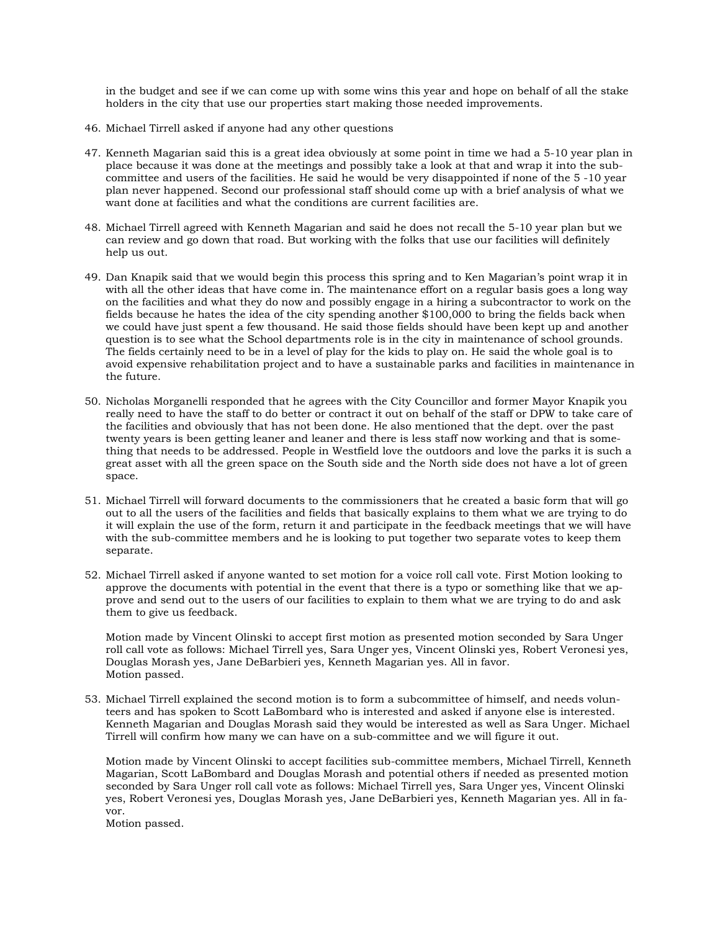in the budget and see if we can come up with some wins this year and hope on behalf of all the stake holders in the city that use our properties start making those needed improvements.

- 46. Michael Tirrell asked if anyone had any other questions
- 47. Kenneth Magarian said this is a great idea obviously at some point in time we had a 5-10 year plan in place because it was done at the meetings and possibly take a look at that and wrap it into the subcommittee and users of the facilities. He said he would be very disappointed if none of the 5 -10 year plan never happened. Second our professional staff should come up with a brief analysis of what we want done at facilities and what the conditions are current facilities are.
- 48. Michael Tirrell agreed with Kenneth Magarian and said he does not recall the 5-10 year plan but we can review and go down that road. But working with the folks that use our facilities will definitely help us out.
- 49. Dan Knapik said that we would begin this process this spring and to Ken Magarian's point wrap it in with all the other ideas that have come in. The maintenance effort on a regular basis goes a long way on the facilities and what they do now and possibly engage in a hiring a subcontractor to work on the fields because he hates the idea of the city spending another \$100,000 to bring the fields back when we could have just spent a few thousand. He said those fields should have been kept up and another question is to see what the School departments role is in the city in maintenance of school grounds. The fields certainly need to be in a level of play for the kids to play on. He said the whole goal is to avoid expensive rehabilitation project and to have a sustainable parks and facilities in maintenance in the future.
- 50. Nicholas Morganelli responded that he agrees with the City Councillor and former Mayor Knapik you really need to have the staff to do better or contract it out on behalf of the staff or DPW to take care of the facilities and obviously that has not been done. He also mentioned that the dept. over the past twenty years is been getting leaner and leaner and there is less staff now working and that is something that needs to be addressed. People in Westfield love the outdoors and love the parks it is such a great asset with all the green space on the South side and the North side does not have a lot of green space.
- 51. Michael Tirrell will forward documents to the commissioners that he created a basic form that will go out to all the users of the facilities and fields that basically explains to them what we are trying to do it will explain the use of the form, return it and participate in the feedback meetings that we will have with the sub-committee members and he is looking to put together two separate votes to keep them separate.
- 52. Michael Tirrell asked if anyone wanted to set motion for a voice roll call vote. First Motion looking to approve the documents with potential in the event that there is a typo or something like that we approve and send out to the users of our facilities to explain to them what we are trying to do and ask them to give us feedback.

Motion made by Vincent Olinski to accept first motion as presented motion seconded by Sara Unger roll call vote as follows: Michael Tirrell yes, Sara Unger yes, Vincent Olinski yes, Robert Veronesi yes, Douglas Morash yes, Jane DeBarbieri yes, Kenneth Magarian yes. All in favor. Motion passed.

53. Michael Tirrell explained the second motion is to form a subcommittee of himself, and needs volunteers and has spoken to Scott LaBombard who is interested and asked if anyone else is interested. Kenneth Magarian and Douglas Morash said they would be interested as well as Sara Unger. Michael Tirrell will confirm how many we can have on a sub-committee and we will figure it out.

Motion made by Vincent Olinski to accept facilities sub-committee members, Michael Tirrell, Kenneth Magarian, Scott LaBombard and Douglas Morash and potential others if needed as presented motion seconded by Sara Unger roll call vote as follows: Michael Tirrell yes, Sara Unger yes, Vincent Olinski yes, Robert Veronesi yes, Douglas Morash yes, Jane DeBarbieri yes, Kenneth Magarian yes. All in favor.

Motion passed.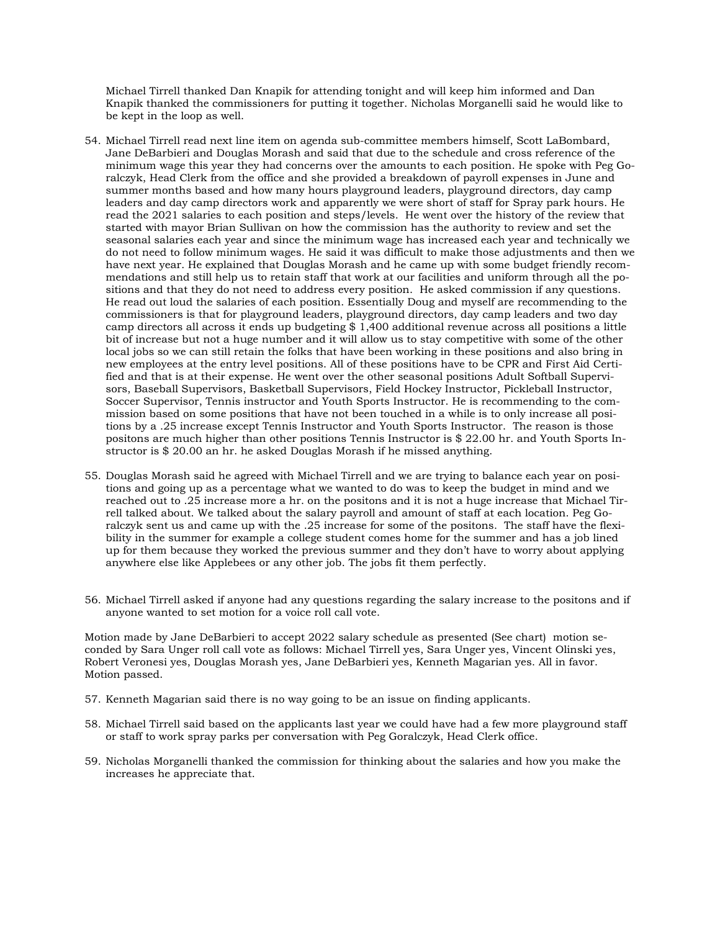Michael Tirrell thanked Dan Knapik for attending tonight and will keep him informed and Dan Knapik thanked the commissioners for putting it together. Nicholas Morganelli said he would like to be kept in the loop as well.

- 54. Michael Tirrell read next line item on agenda sub-committee members himself, Scott LaBombard, Jane DeBarbieri and Douglas Morash and said that due to the schedule and cross reference of the minimum wage this year they had concerns over the amounts to each position. He spoke with Peg Goralczyk, Head Clerk from the office and she provided a breakdown of payroll expenses in June and summer months based and how many hours playground leaders, playground directors, day camp leaders and day camp directors work and apparently we were short of staff for Spray park hours. He read the 2021 salaries to each position and steps/levels. He went over the history of the review that started with mayor Brian Sullivan on how the commission has the authority to review and set the seasonal salaries each year and since the minimum wage has increased each year and technically we do not need to follow minimum wages. He said it was difficult to make those adjustments and then we have next year. He explained that Douglas Morash and he came up with some budget friendly recommendations and still help us to retain staff that work at our facilities and uniform through all the positions and that they do not need to address every position. He asked commission if any questions. He read out loud the salaries of each position. Essentially Doug and myself are recommending to the commissioners is that for playground leaders, playground directors, day camp leaders and two day camp directors all across it ends up budgeting \$ 1,400 additional revenue across all positions a little bit of increase but not a huge number and it will allow us to stay competitive with some of the other local jobs so we can still retain the folks that have been working in these positions and also bring in new employees at the entry level positions. All of these positions have to be CPR and First Aid Certified and that is at their expense. He went over the other seasonal positions Adult Softball Supervisors, Baseball Supervisors, Basketball Supervisors, Field Hockey Instructor, Pickleball Instructor, Soccer Supervisor, Tennis instructor and Youth Sports Instructor. He is recommending to the commission based on some positions that have not been touched in a while is to only increase all positions by a .25 increase except Tennis Instructor and Youth Sports Instructor. The reason is those positons are much higher than other positions Tennis Instructor is \$ 22.00 hr. and Youth Sports Instructor is \$ 20.00 an hr. he asked Douglas Morash if he missed anything.
- 55. Douglas Morash said he agreed with Michael Tirrell and we are trying to balance each year on positions and going up as a percentage what we wanted to do was to keep the budget in mind and we reached out to .25 increase more a hr. on the positons and it is not a huge increase that Michael Tirrell talked about. We talked about the salary payroll and amount of staff at each location. Peg Goralczyk sent us and came up with the .25 increase for some of the positons. The staff have the flexibility in the summer for example a college student comes home for the summer and has a job lined up for them because they worked the previous summer and they don't have to worry about applying anywhere else like Applebees or any other job. The jobs fit them perfectly.
- 56. Michael Tirrell asked if anyone had any questions regarding the salary increase to the positons and if anyone wanted to set motion for a voice roll call vote.

Motion made by Jane DeBarbieri to accept 2022 salary schedule as presented (See chart) motion seconded by Sara Unger roll call vote as follows: Michael Tirrell yes, Sara Unger yes, Vincent Olinski yes, Robert Veronesi yes, Douglas Morash yes, Jane DeBarbieri yes, Kenneth Magarian yes. All in favor. Motion passed.

- 57. Kenneth Magarian said there is no way going to be an issue on finding applicants.
- 58. Michael Tirrell said based on the applicants last year we could have had a few more playground staff or staff to work spray parks per conversation with Peg Goralczyk, Head Clerk office.
- 59. Nicholas Morganelli thanked the commission for thinking about the salaries and how you make the increases he appreciate that.